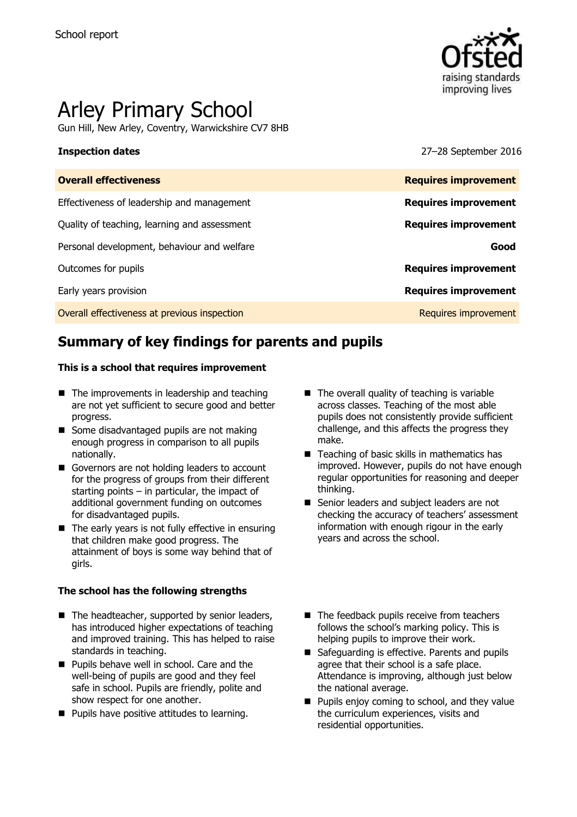

# Arley Primary School

Gun Hill, New Arley, Coventry, Warwickshire CV7 8HB

**Inspection dates** 27–28 September 2016

| <b>Requires improvement</b> |
|-----------------------------|
| <b>Requires improvement</b> |
| <b>Requires improvement</b> |
| Good                        |
| <b>Requires improvement</b> |
| <b>Requires improvement</b> |
| Requires improvement        |
|                             |

# **Summary of key findings for parents and pupils**

### **This is a school that requires improvement**

- $\blacksquare$  The improvements in leadership and teaching are not yet sufficient to secure good and better progress.
- Some disadvantaged pupils are not making enough progress in comparison to all pupils nationally.
- Governors are not holding leaders to account for the progress of groups from their different starting points  $-$  in particular, the impact of additional government funding on outcomes for disadvantaged pupils.
- $\blacksquare$  The early years is not fully effective in ensuring that children make good progress. The attainment of boys is some way behind that of girls.

### **The school has the following strengths**

- The headteacher, supported by senior leaders, has introduced higher expectations of teaching and improved training. This has helped to raise standards in teaching.
- **Pupils behave well in school. Care and the** well-being of pupils are good and they feel safe in school. Pupils are friendly, polite and show respect for one another.
- **Pupils have positive attitudes to learning.**
- $\blacksquare$  The overall quality of teaching is variable across classes. Teaching of the most able pupils does not consistently provide sufficient challenge, and this affects the progress they make.
- Teaching of basic skills in mathematics has improved. However, pupils do not have enough regular opportunities for reasoning and deeper thinking.
- Senior leaders and subject leaders are not checking the accuracy of teachers' assessment information with enough rigour in the early years and across the school.
- The feedback pupils receive from teachers follows the school's marking policy. This is helping pupils to improve their work.
- Safeguarding is effective. Parents and pupils agree that their school is a safe place. Attendance is improving, although just below the national average.
- **Pupils enjoy coming to school, and they value** the curriculum experiences, visits and residential opportunities.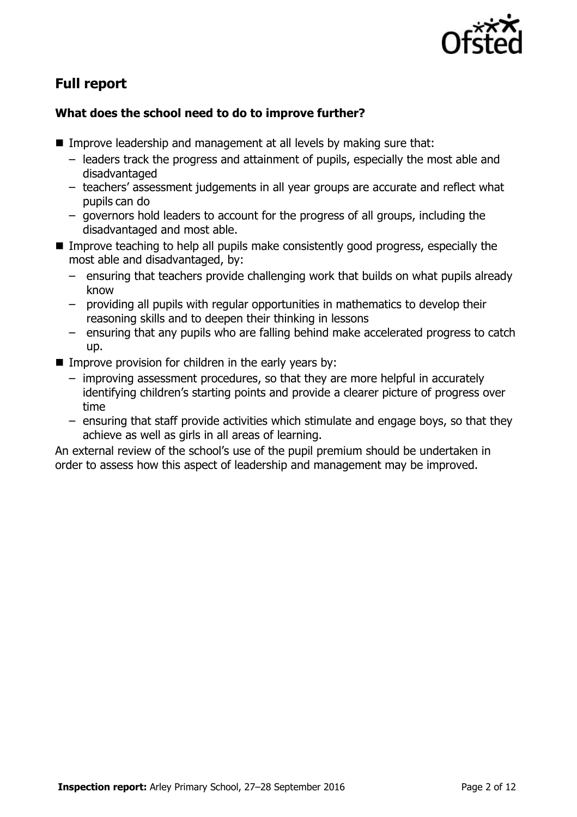

# **Full report**

### **What does the school need to do to improve further?**

- Improve leadership and management at all levels by making sure that:
	- leaders track the progress and attainment of pupils, especially the most able and disadvantaged
	- teachers' assessment judgements in all year groups are accurate and reflect what pupils can do
	- governors hold leaders to account for the progress of all groups, including the disadvantaged and most able.
- **IMPROVE THEORY IS NOTED EXAMPLE THEORY IS NOTED FOR THEORY IS EXAMPLED THEORY IS EXAMPLED THEORY IS EXAMPLED T** most able and disadvantaged, by:
	- ensuring that teachers provide challenging work that builds on what pupils already know
	- providing all pupils with regular opportunities in mathematics to develop their reasoning skills and to deepen their thinking in lessons
	- ensuring that any pupils who are falling behind make accelerated progress to catch up.
- $\blacksquare$  Improve provision for children in the early years by:
	- improving assessment procedures, so that they are more helpful in accurately identifying children's starting points and provide a clearer picture of progress over time
	- ensuring that staff provide activities which stimulate and engage boys, so that they achieve as well as girls in all areas of learning.

An external review of the school's use of the pupil premium should be undertaken in order to assess how this aspect of leadership and management may be improved.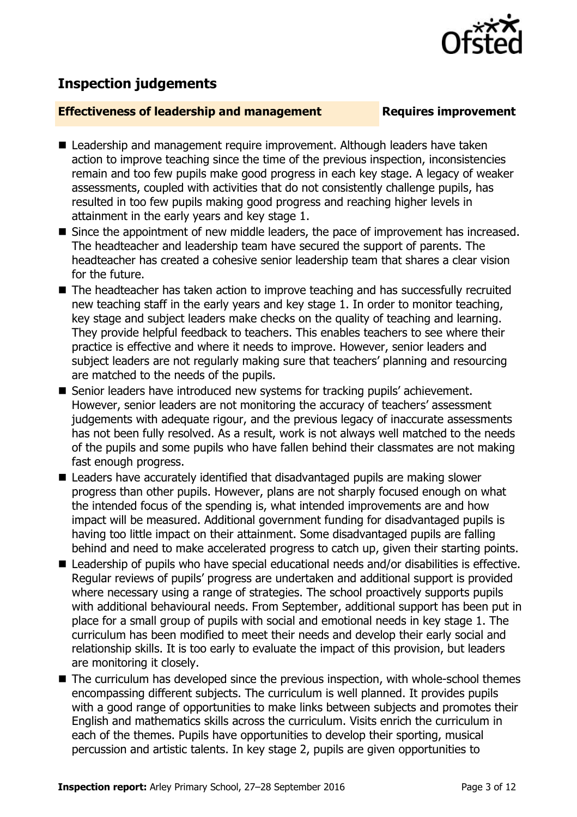# **Inspection judgements**

### **Effectiveness of leadership and management Requires improvement**

- Leadership and management require improvement. Although leaders have taken action to improve teaching since the time of the previous inspection, inconsistencies remain and too few pupils make good progress in each key stage. A legacy of weaker assessments, coupled with activities that do not consistently challenge pupils, has resulted in too few pupils making good progress and reaching higher levels in attainment in the early years and key stage 1.
- Since the appointment of new middle leaders, the pace of improvement has increased. The headteacher and leadership team have secured the support of parents. The headteacher has created a cohesive senior leadership team that shares a clear vision for the future.
- The headteacher has taken action to improve teaching and has successfully recruited new teaching staff in the early years and key stage 1. In order to monitor teaching, key stage and subject leaders make checks on the quality of teaching and learning. They provide helpful feedback to teachers. This enables teachers to see where their practice is effective and where it needs to improve. However, senior leaders and subject leaders are not regularly making sure that teachers' planning and resourcing are matched to the needs of the pupils.
- Senior leaders have introduced new systems for tracking pupils' achievement. However, senior leaders are not monitoring the accuracy of teachers' assessment judgements with adequate rigour, and the previous legacy of inaccurate assessments has not been fully resolved. As a result, work is not always well matched to the needs of the pupils and some pupils who have fallen behind their classmates are not making fast enough progress.
- Leaders have accurately identified that disadvantaged pupils are making slower progress than other pupils. However, plans are not sharply focused enough on what the intended focus of the spending is, what intended improvements are and how impact will be measured. Additional government funding for disadvantaged pupils is having too little impact on their attainment. Some disadvantaged pupils are falling behind and need to make accelerated progress to catch up, given their starting points.
- Leadership of pupils who have special educational needs and/or disabilities is effective. Regular reviews of pupils' progress are undertaken and additional support is provided where necessary using a range of strategies. The school proactively supports pupils with additional behavioural needs. From September, additional support has been put in place for a small group of pupils with social and emotional needs in key stage 1. The curriculum has been modified to meet their needs and develop their early social and relationship skills. It is too early to evaluate the impact of this provision, but leaders are monitoring it closely.
- The curriculum has developed since the previous inspection, with whole-school themes encompassing different subjects. The curriculum is well planned. It provides pupils with a good range of opportunities to make links between subjects and promotes their English and mathematics skills across the curriculum. Visits enrich the curriculum in each of the themes. Pupils have opportunities to develop their sporting, musical percussion and artistic talents. In key stage 2, pupils are given opportunities to

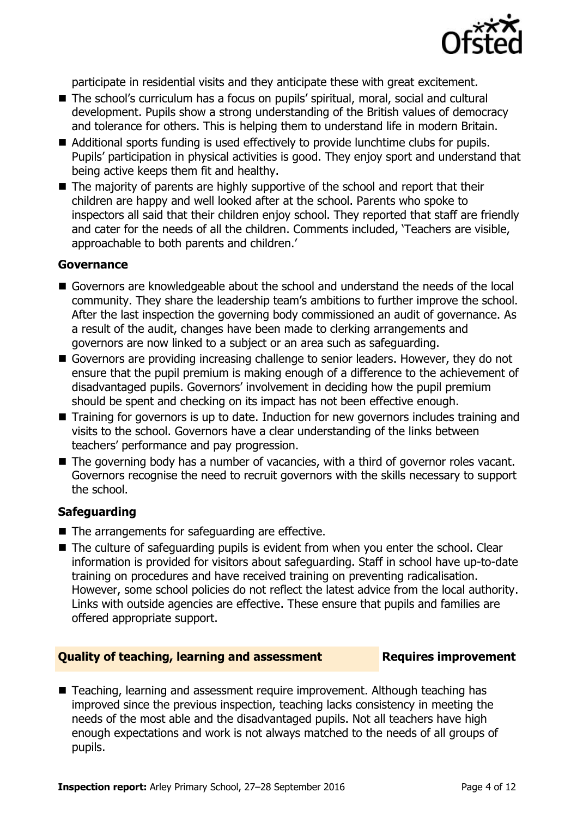

participate in residential visits and they anticipate these with great excitement.

- The school's curriculum has a focus on pupils' spiritual, moral, social and cultural development. Pupils show a strong understanding of the British values of democracy and tolerance for others. This is helping them to understand life in modern Britain.
- Additional sports funding is used effectively to provide lunchtime clubs for pupils. Pupils' participation in physical activities is good. They enjoy sport and understand that being active keeps them fit and healthy.
- $\blacksquare$  The majority of parents are highly supportive of the school and report that their children are happy and well looked after at the school. Parents who spoke to inspectors all said that their children enjoy school. They reported that staff are friendly and cater for the needs of all the children. Comments included, 'Teachers are visible, approachable to both parents and children.'

### **Governance**

- Governors are knowledgeable about the school and understand the needs of the local community. They share the leadership team's ambitions to further improve the school. After the last inspection the governing body commissioned an audit of governance. As a result of the audit, changes have been made to clerking arrangements and governors are now linked to a subject or an area such as safeguarding.
- Governors are providing increasing challenge to senior leaders. However, they do not ensure that the pupil premium is making enough of a difference to the achievement of disadvantaged pupils. Governors' involvement in deciding how the pupil premium should be spent and checking on its impact has not been effective enough.
- Training for governors is up to date. Induction for new governors includes training and visits to the school. Governors have a clear understanding of the links between teachers' performance and pay progression.
- The governing body has a number of vacancies, with a third of governor roles vacant. Governors recognise the need to recruit governors with the skills necessary to support the school.

### **Safeguarding**

- The arrangements for safeguarding are effective.
- The culture of safeguarding pupils is evident from when you enter the school. Clear information is provided for visitors about safeguarding. Staff in school have up-to-date training on procedures and have received training on preventing radicalisation. However, some school policies do not reflect the latest advice from the local authority. Links with outside agencies are effective. These ensure that pupils and families are offered appropriate support.

### **Quality of teaching, learning and assessment Requires improvement**

■ Teaching, learning and assessment require improvement. Although teaching has improved since the previous inspection, teaching lacks consistency in meeting the needs of the most able and the disadvantaged pupils. Not all teachers have high enough expectations and work is not always matched to the needs of all groups of pupils.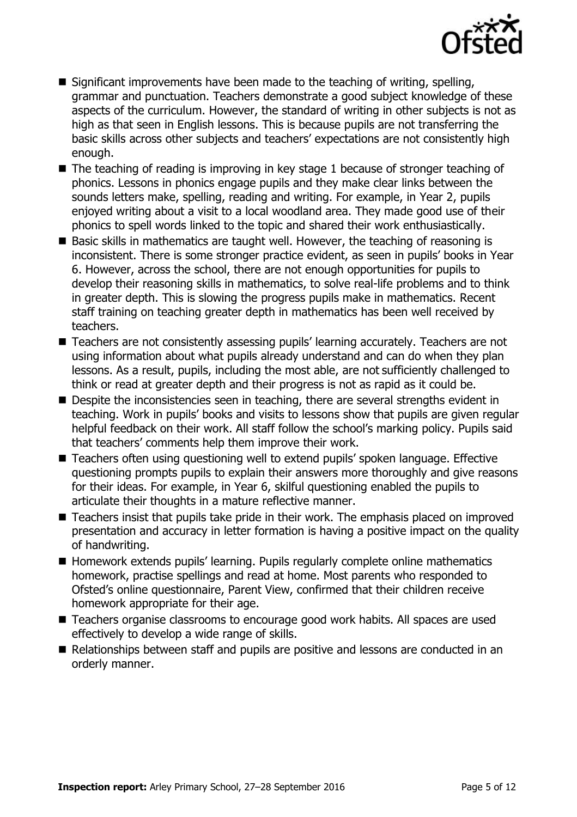

- Significant improvements have been made to the teaching of writing, spelling, grammar and punctuation. Teachers demonstrate a good subject knowledge of these aspects of the curriculum. However, the standard of writing in other subjects is not as high as that seen in English lessons. This is because pupils are not transferring the basic skills across other subjects and teachers' expectations are not consistently high enough.
- The teaching of reading is improving in key stage 1 because of stronger teaching of phonics. Lessons in phonics engage pupils and they make clear links between the sounds letters make, spelling, reading and writing. For example, in Year 2, pupils enjoyed writing about a visit to a local woodland area. They made good use of their phonics to spell words linked to the topic and shared their work enthusiastically.
- Basic skills in mathematics are taught well. However, the teaching of reasoning is inconsistent. There is some stronger practice evident, as seen in pupils' books in Year 6. However, across the school, there are not enough opportunities for pupils to develop their reasoning skills in mathematics, to solve real-life problems and to think in greater depth. This is slowing the progress pupils make in mathematics. Recent staff training on teaching greater depth in mathematics has been well received by teachers.
- Teachers are not consistently assessing pupils' learning accurately. Teachers are not using information about what pupils already understand and can do when they plan lessons. As a result, pupils, including the most able, are not sufficiently challenged to think or read at greater depth and their progress is not as rapid as it could be.
- Despite the inconsistencies seen in teaching, there are several strengths evident in teaching. Work in pupils' books and visits to lessons show that pupils are given regular helpful feedback on their work. All staff follow the school's marking policy. Pupils said that teachers' comments help them improve their work.
- Teachers often using questioning well to extend pupils' spoken language. Effective questioning prompts pupils to explain their answers more thoroughly and give reasons for their ideas. For example, in Year 6, skilful questioning enabled the pupils to articulate their thoughts in a mature reflective manner.
- Teachers insist that pupils take pride in their work. The emphasis placed on improved presentation and accuracy in letter formation is having a positive impact on the quality of handwriting.
- Homework extends pupils' learning. Pupils regularly complete online mathematics homework, practise spellings and read at home. Most parents who responded to Ofsted's online questionnaire, Parent View, confirmed that their children receive homework appropriate for their age.
- Teachers organise classrooms to encourage good work habits. All spaces are used effectively to develop a wide range of skills.
- Relationships between staff and pupils are positive and lessons are conducted in an orderly manner.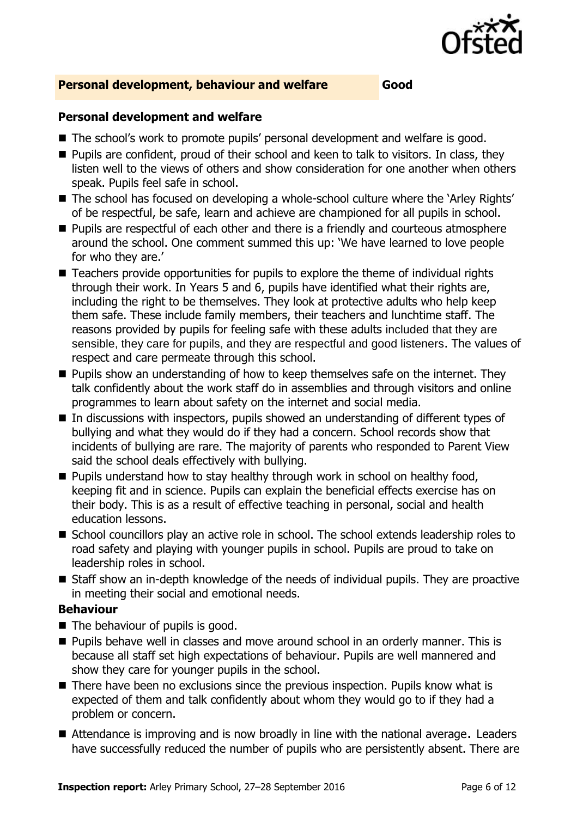

### **Personal development, behaviour and welfare Good**

### **Personal development and welfare**

- The school's work to promote pupils' personal development and welfare is good.
- Pupils are confident, proud of their school and keen to talk to visitors. In class, they listen well to the views of others and show consideration for one another when others speak. Pupils feel safe in school.
- The school has focused on developing a whole-school culture where the 'Arley Rights' of be respectful, be safe, learn and achieve are championed for all pupils in school.
- **Pupils are respectful of each other and there is a friendly and courteous atmosphere** around the school. One comment summed this up: 'We have learned to love people for who they are.'
- Teachers provide opportunities for pupils to explore the theme of individual rights through their work. In Years 5 and 6, pupils have identified what their rights are, including the right to be themselves. They look at protective adults who help keep them safe. These include family members, their teachers and lunchtime staff. The reasons provided by pupils for feeling safe with these adults included that they are sensible, they care for pupils, and they are respectful and good listeners. The values of respect and care permeate through this school.
- $\blacksquare$  Pupils show an understanding of how to keep themselves safe on the internet. They talk confidently about the work staff do in assemblies and through visitors and online programmes to learn about safety on the internet and social media.
- In discussions with inspectors, pupils showed an understanding of different types of bullying and what they would do if they had a concern. School records show that incidents of bullying are rare. The majority of parents who responded to Parent View said the school deals effectively with bullying.
- $\blacksquare$  Pupils understand how to stay healthy through work in school on healthy food, keeping fit and in science. Pupils can explain the beneficial effects exercise has on their body. This is as a result of effective teaching in personal, social and health education lessons.
- School councillors play an active role in school. The school extends leadership roles to road safety and playing with younger pupils in school. Pupils are proud to take on leadership roles in school.
- Staff show an in-depth knowledge of the needs of individual pupils. They are proactive in meeting their social and emotional needs.

### **Behaviour**

- The behaviour of pupils is good.
- **Pupils behave well in classes and move around school in an orderly manner. This is** because all staff set high expectations of behaviour. Pupils are well mannered and show they care for younger pupils in the school.
- There have been no exclusions since the previous inspection. Pupils know what is expected of them and talk confidently about whom they would go to if they had a problem or concern.
- Attendance is improving and is now broadly in line with the national average. Leaders have successfully reduced the number of pupils who are persistently absent. There are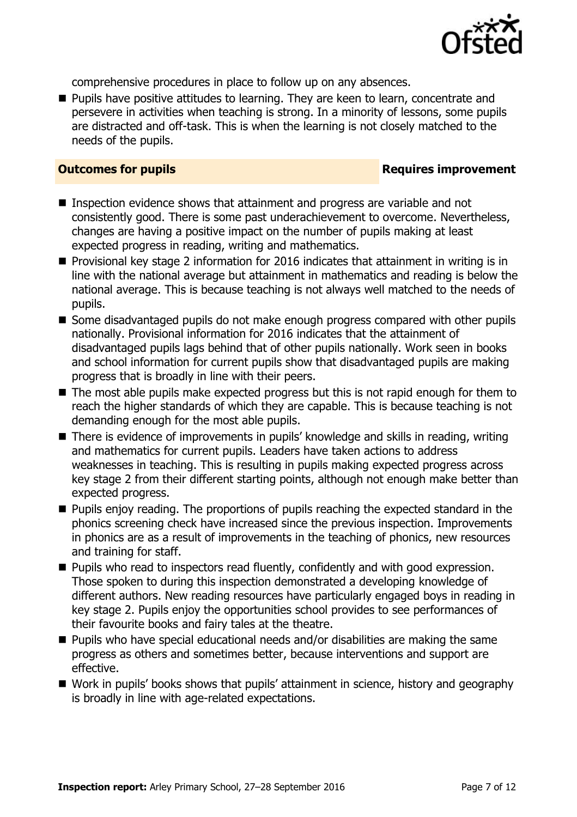

comprehensive procedures in place to follow up on any absences.

**Pupils have positive attitudes to learning. They are keen to learn, concentrate and** persevere in activities when teaching is strong. In a minority of lessons, some pupils are distracted and off-task. This is when the learning is not closely matched to the needs of the pupils.

### **Outcomes for pupils Requires improvement**

- Inspection evidence shows that attainment and progress are variable and not consistently good. There is some past underachievement to overcome. Nevertheless, changes are having a positive impact on the number of pupils making at least expected progress in reading, writing and mathematics.
- **Provisional key stage 2 information for 2016 indicates that attainment in writing is in** line with the national average but attainment in mathematics and reading is below the national average. This is because teaching is not always well matched to the needs of pupils.
- Some disadvantaged pupils do not make enough progress compared with other pupils nationally. Provisional information for 2016 indicates that the attainment of disadvantaged pupils lags behind that of other pupils nationally. Work seen in books and school information for current pupils show that disadvantaged pupils are making progress that is broadly in line with their peers.
- The most able pupils make expected progress but this is not rapid enough for them to reach the higher standards of which they are capable. This is because teaching is not demanding enough for the most able pupils.
- There is evidence of improvements in pupils' knowledge and skills in reading, writing and mathematics for current pupils. Leaders have taken actions to address weaknesses in teaching. This is resulting in pupils making expected progress across key stage 2 from their different starting points, although not enough make better than expected progress.
- **Pupils enjoy reading. The proportions of pupils reaching the expected standard in the** phonics screening check have increased since the previous inspection. Improvements in phonics are as a result of improvements in the teaching of phonics, new resources and training for staff.
- **Pupils who read to inspectors read fluently, confidently and with good expression.** Those spoken to during this inspection demonstrated a developing knowledge of different authors. New reading resources have particularly engaged boys in reading in key stage 2. Pupils enjoy the opportunities school provides to see performances of their favourite books and fairy tales at the theatre.
- $\blacksquare$  Pupils who have special educational needs and/or disabilities are making the same progress as others and sometimes better, because interventions and support are effective.
- Work in pupils' books shows that pupils' attainment in science, history and geography is broadly in line with age-related expectations.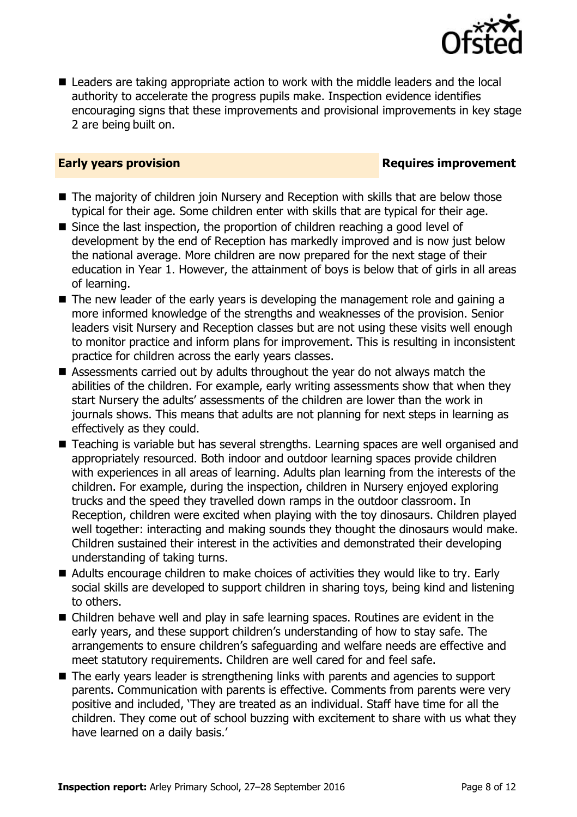

 Leaders are taking appropriate action to work with the middle leaders and the local authority to accelerate the progress pupils make. Inspection evidence identifies encouraging signs that these improvements and provisional improvements in key stage 2 are being built on.

### **Early years provision**

- The majority of children join Nursery and Reception with skills that are below those typical for their age. Some children enter with skills that are typical for their age.
- Since the last inspection, the proportion of children reaching a good level of development by the end of Reception has markedly improved and is now just below the national average. More children are now prepared for the next stage of their education in Year 1. However, the attainment of boys is below that of girls in all areas of learning.
- The new leader of the early years is developing the management role and gaining a more informed knowledge of the strengths and weaknesses of the provision. Senior leaders visit Nursery and Reception classes but are not using these visits well enough to monitor practice and inform plans for improvement. This is resulting in inconsistent practice for children across the early years classes.
- Assessments carried out by adults throughout the year do not always match the abilities of the children. For example, early writing assessments show that when they start Nursery the adults' assessments of the children are lower than the work in journals shows. This means that adults are not planning for next steps in learning as effectively as they could.
- Teaching is variable but has several strengths. Learning spaces are well organised and appropriately resourced. Both indoor and outdoor learning spaces provide children with experiences in all areas of learning. Adults plan learning from the interests of the children. For example, during the inspection, children in Nursery enjoyed exploring trucks and the speed they travelled down ramps in the outdoor classroom. In Reception, children were excited when playing with the toy dinosaurs. Children played well together: interacting and making sounds they thought the dinosaurs would make. Children sustained their interest in the activities and demonstrated their developing understanding of taking turns.
- Adults encourage children to make choices of activities they would like to try. Early social skills are developed to support children in sharing toys, being kind and listening to others.
- Children behave well and play in safe learning spaces. Routines are evident in the early years, and these support children's understanding of how to stay safe. The arrangements to ensure children's safeguarding and welfare needs are effective and meet statutory requirements. Children are well cared for and feel safe.
- The early years leader is strengthening links with parents and agencies to support parents. Communication with parents is effective. Comments from parents were very positive and included, 'They are treated as an individual. Staff have time for all the children. They come out of school buzzing with excitement to share with us what they have learned on a daily basis.'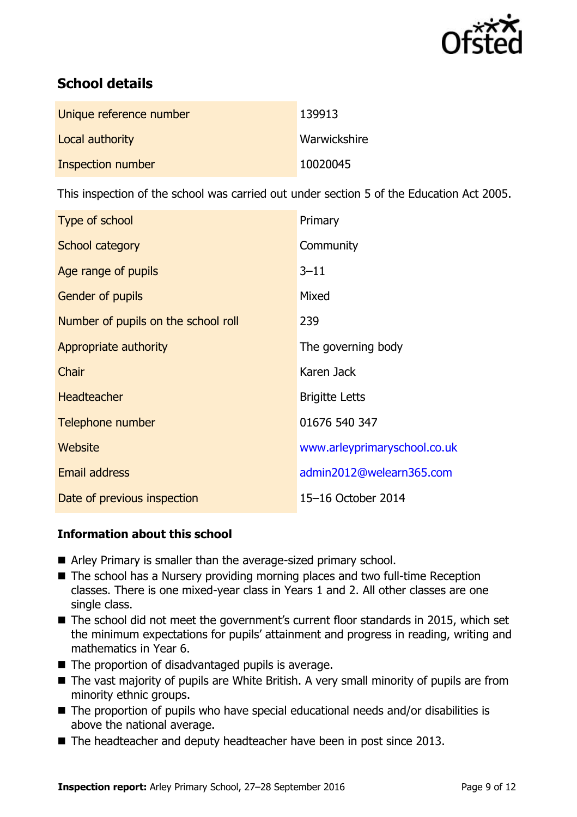

# **School details**

| Unique reference number | 139913       |
|-------------------------|--------------|
| Local authority         | Warwickshire |
| Inspection number       | 10020045     |

This inspection of the school was carried out under section 5 of the Education Act 2005.

| Type of school                      | Primary                      |
|-------------------------------------|------------------------------|
| School category                     | Community                    |
| Age range of pupils                 | $3 - 11$                     |
| <b>Gender of pupils</b>             | Mixed                        |
| Number of pupils on the school roll | 239                          |
| Appropriate authority               | The governing body           |
| Chair                               | Karen Jack                   |
| <b>Headteacher</b>                  | <b>Brigitte Letts</b>        |
| Telephone number                    | 01676 540 347                |
| Website                             | www.arleyprimaryschool.co.uk |
| <b>Email address</b>                | admin2012@welearn365.com     |
| Date of previous inspection         | 15-16 October 2014           |

### **Information about this school**

- Arley Primary is smaller than the average-sized primary school.
- The school has a Nursery providing morning places and two full-time Reception classes. There is one mixed-year class in Years 1 and 2. All other classes are one single class.
- The school did not meet the government's current floor standards in 2015, which set the minimum expectations for pupils' attainment and progress in reading, writing and mathematics in Year 6.
- $\blacksquare$  The proportion of disadvantaged pupils is average.
- The vast majority of pupils are White British. A very small minority of pupils are from minority ethnic groups.
- The proportion of pupils who have special educational needs and/or disabilities is above the national average.
- The headteacher and deputy headteacher have been in post since 2013.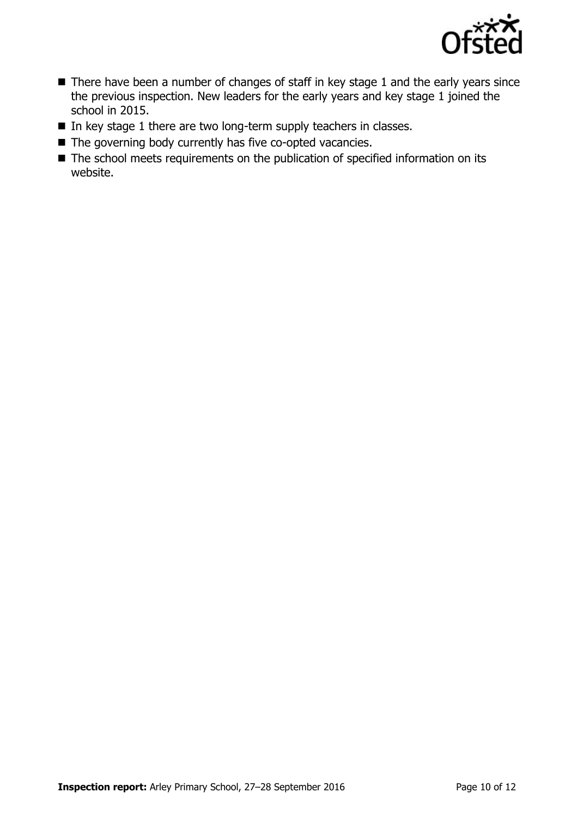

- There have been a number of changes of staff in key stage 1 and the early years since the previous inspection. New leaders for the early years and key stage 1 joined the school in 2015.
- $\blacksquare$  In key stage 1 there are two long-term supply teachers in classes.
- The governing body currently has five co-opted vacancies.
- The school meets requirements on the publication of specified information on its website.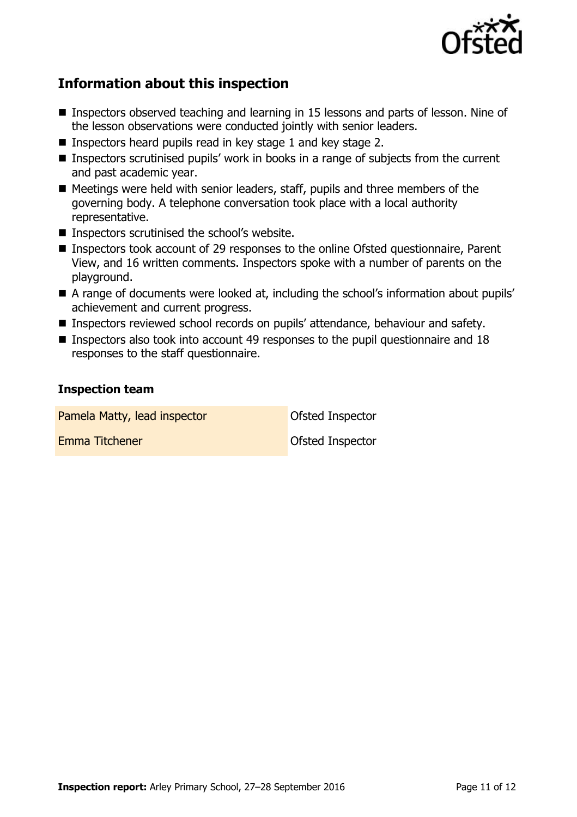

## **Information about this inspection**

- Inspectors observed teaching and learning in 15 lessons and parts of lesson. Nine of the lesson observations were conducted jointly with senior leaders.
- Inspectors heard pupils read in key stage 1 and key stage 2.
- Inspectors scrutinised pupils' work in books in a range of subjects from the current and past academic year.
- Meetings were held with senior leaders, staff, pupils and three members of the governing body. A telephone conversation took place with a local authority representative.
- Inspectors scrutinised the school's website.
- Inspectors took account of 29 responses to the online Ofsted questionnaire, Parent View, and 16 written comments. Inspectors spoke with a number of parents on the playground.
- A range of documents were looked at, including the school's information about pupils' achievement and current progress.
- **Inspectors reviewed school records on pupils' attendance, behaviour and safety.**
- **Inspectors also took into account 49 responses to the pupil questionnaire and 18** responses to the staff questionnaire.

### **Inspection team**

Pamela Matty, lead inspector **Constanting Constanting Constanting Pamela Matty**, lead inspector Emma Titchener **Construction Construction** Ofsted Inspector